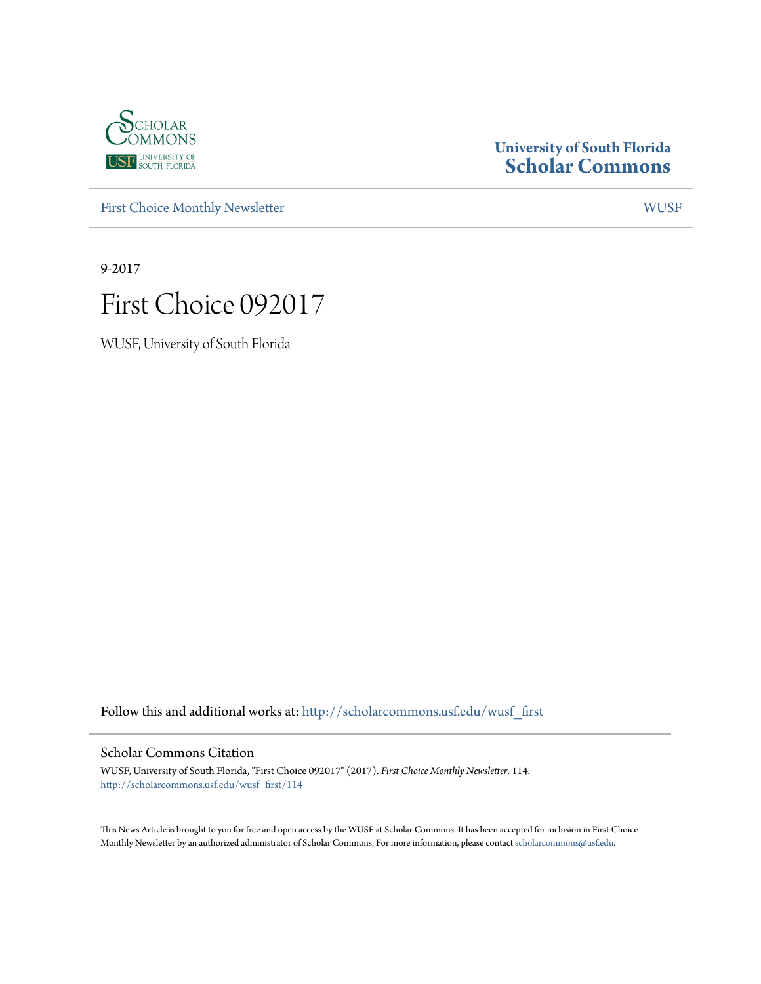

# **University of South Florida [Scholar Commons](http://scholarcommons.usf.edu?utm_source=scholarcommons.usf.edu%2Fwusf_first%2F114&utm_medium=PDF&utm_campaign=PDFCoverPages)**

[First Choice Monthly Newsletter](http://scholarcommons.usf.edu/wusf_first?utm_source=scholarcommons.usf.edu%2Fwusf_first%2F114&utm_medium=PDF&utm_campaign=PDFCoverPages) [WUSF](http://scholarcommons.usf.edu/wusf?utm_source=scholarcommons.usf.edu%2Fwusf_first%2F114&utm_medium=PDF&utm_campaign=PDFCoverPages)

9-2017



WUSF, University of South Florida

Follow this and additional works at: [http://scholarcommons.usf.edu/wusf\\_first](http://scholarcommons.usf.edu/wusf_first?utm_source=scholarcommons.usf.edu%2Fwusf_first%2F114&utm_medium=PDF&utm_campaign=PDFCoverPages)

### Scholar Commons Citation

WUSF, University of South Florida, "First Choice 092017" (2017). *First Choice Monthly Newsletter*. 114. [http://scholarcommons.usf.edu/wusf\\_first/114](http://scholarcommons.usf.edu/wusf_first/114?utm_source=scholarcommons.usf.edu%2Fwusf_first%2F114&utm_medium=PDF&utm_campaign=PDFCoverPages)

This News Article is brought to you for free and open access by the WUSF at Scholar Commons. It has been accepted for inclusion in First Choice Monthly Newsletter by an authorized administrator of Scholar Commons. For more information, please contact [scholarcommons@usf.edu.](mailto:scholarcommons@usf.edu)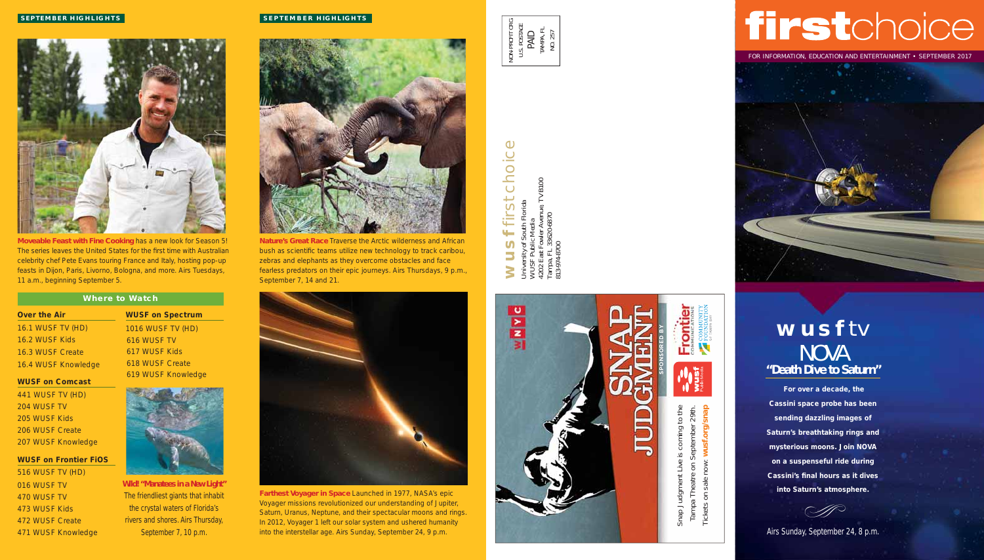# firstchoice

FOR INFORMATION, EDUCATION AND ENTERTAINMENT • SEPTEMBER 2017

# **wusf** tv NOVA **"Death Dive to Saturn"**

**For over a decade, the Cassini space probe has been sending dazzling images of Saturn's breathtaking rings and mysterious moons. Join NOVA on a suspenseful ride during Cassini's final hours as it dives into Saturn's atmosphere.** 



Airs Sunday, September 24, 8 p.m.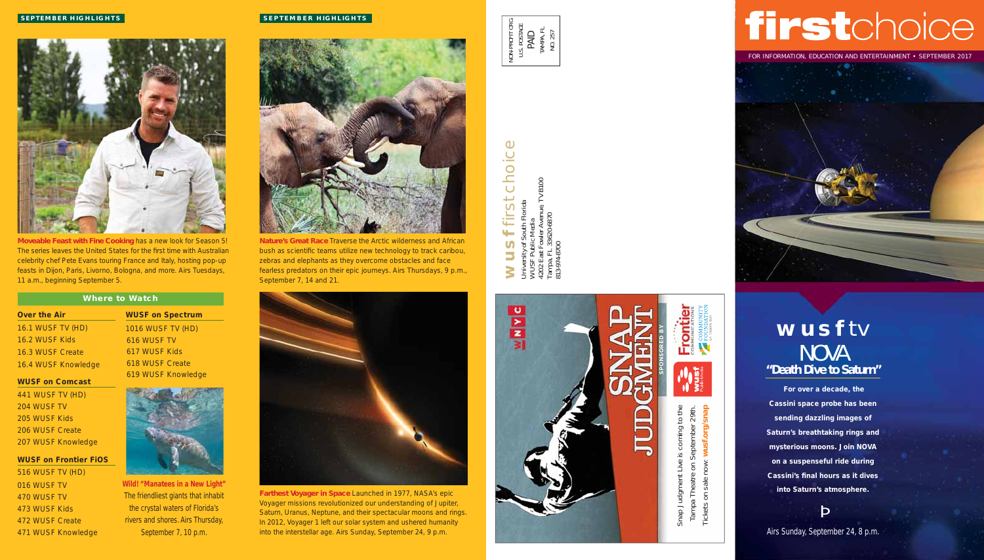

**Moveable Feast with Fine Cooking** has a new look for Season 5! The series leaves the United States for the first time with Australian celebrity chef Pete Evans touring France and Italy, hosting pop-up feasts in Dijon, Paris, Livorno, Bologna, and more. Airs Tuesdays, 11 a.m., beginning September 5.

### **Where to Watch**

| <b>Over the Air</b> |                  |                          |
|---------------------|------------------|--------------------------|
|                     |                  | <b>16.1 WUSF TV (HD)</b> |
|                     | 16.2 WUSF Kids   |                          |
|                     | 16.3 WUSF Create |                          |
|                     |                  | 16.4 WUSF Knowledge      |

**WUSF on Spectrum**  1016 WUSF TV (HD) 616 WUSF TV 617 WUSF Kids 618 WUSF Create 619 WUSF Knowledge

### **WUSF on Comcast**

441 WUSF TV (HD) 204 WUSF TV 205 WUSF Kids 206 WUSF Create 207 WUSF Knowledge

### **WUSF on Frontier FiOS**

516 WUSF TV (HD) 016 WUSF TV 470 WUSF TV 473 WUSF Kids 472 WUSF Create 471 WUSF Knowledge



**Wild! "Manatees in a New Light"**  The friendliest giants that inhabit the crystal waters of Florida's rivers and shores. Airs Thursday, September 7, 10 p.m.

### **SEPTEMBER HIGHLIGHTS**



**Nature's Great Race** Traverse the Arctic wilderness and African bush as scientific teams utilize new technology to track caribou, zebras and elephants as they overcome obstacles and face fearless predators on their epic journeys. Airs Thursdays, 9 p.m., September 7, 14 and 21.



**Farthest Voyager in Space** Launched in 1977, NASA's epic Voyager missions revolutionized our understanding of Jupiter, Saturn, Uranus, Neptune, and their spectacular moons and rings. In 2012, Voyager 1 left our solar system and ushered humanity into the interstellar age. Airs Sunday, September 24, 9 p.m.